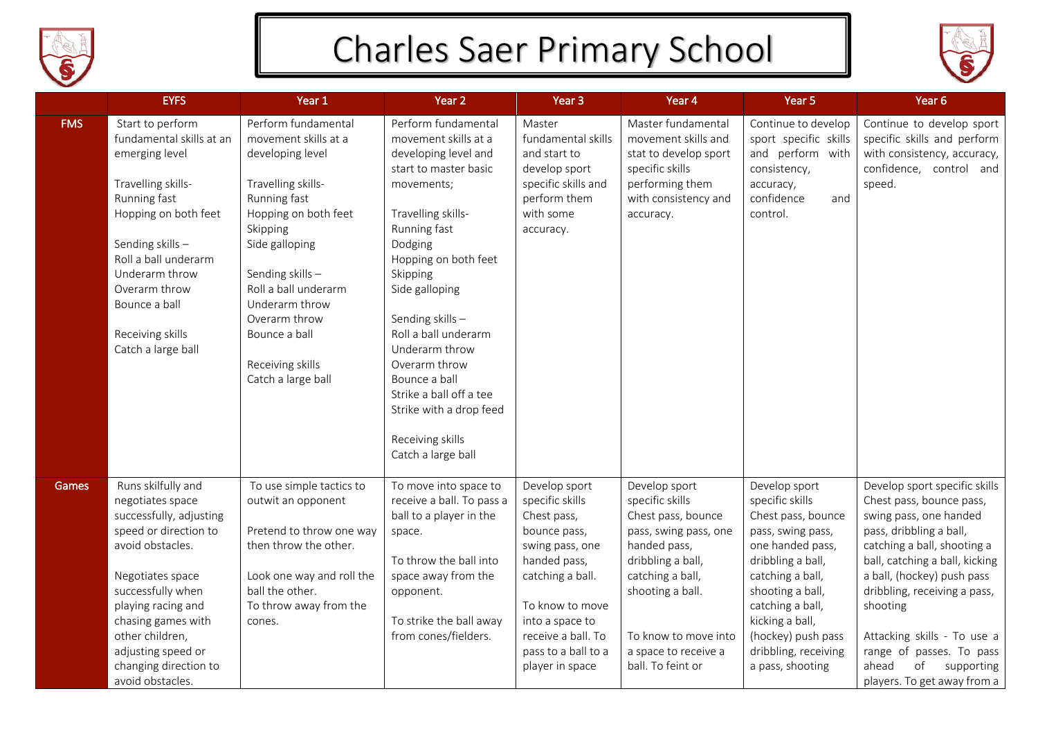

## Charles Saer Primary School



|            | <b>EYFS</b>                                                                                                                                                                                                                                                                               | Year 1                                                                                                                                                                                                                                                                                               | Year 2                                                                                                                                                                                                                                                                                                                                                                                                           | Year <sub>3</sub>                                                                                                                                                                                                            | Year 4                                                                                                                                                                                                                            | Year 5                                                                                                                                                                                                                                                                | Year <sub>6</sub>                                                                                                                                                                                                                                                                                                                                                                       |
|------------|-------------------------------------------------------------------------------------------------------------------------------------------------------------------------------------------------------------------------------------------------------------------------------------------|------------------------------------------------------------------------------------------------------------------------------------------------------------------------------------------------------------------------------------------------------------------------------------------------------|------------------------------------------------------------------------------------------------------------------------------------------------------------------------------------------------------------------------------------------------------------------------------------------------------------------------------------------------------------------------------------------------------------------|------------------------------------------------------------------------------------------------------------------------------------------------------------------------------------------------------------------------------|-----------------------------------------------------------------------------------------------------------------------------------------------------------------------------------------------------------------------------------|-----------------------------------------------------------------------------------------------------------------------------------------------------------------------------------------------------------------------------------------------------------------------|-----------------------------------------------------------------------------------------------------------------------------------------------------------------------------------------------------------------------------------------------------------------------------------------------------------------------------------------------------------------------------------------|
| <b>FMS</b> | Start to perform<br>fundamental skills at an<br>emerging level<br>Travelling skills-<br>Running fast<br>Hopping on both feet<br>Sending skills-<br>Roll a ball underarm<br>Underarm throw<br>Overarm throw<br>Bounce a ball<br>Receiving skills<br>Catch a large ball                     | Perform fundamental<br>movement skills at a<br>developing level<br>Travelling skills-<br>Running fast<br>Hopping on both feet<br>Skipping<br>Side galloping<br>Sending skills-<br>Roll a ball underarm<br>Underarm throw<br>Overarm throw<br>Bounce a ball<br>Receiving skills<br>Catch a large ball | Perform fundamental<br>movement skills at a<br>developing level and<br>start to master basic<br>movements;<br>Travelling skills-<br>Running fast<br>Dodging<br>Hopping on both feet<br>Skipping<br>Side galloping<br>Sending skills-<br>Roll a ball underarm<br>Underarm throw<br>Overarm throw<br>Bounce a ball<br>Strike a ball off a tee<br>Strike with a drop feed<br>Receiving skills<br>Catch a large ball | Master<br>fundamental skills<br>and start to<br>develop sport<br>specific skills and<br>perform them<br>with some<br>accuracy.                                                                                               | Master fundamental<br>movement skills and<br>stat to develop sport<br>specific skills<br>performing them<br>with consistency and<br>accuracy.                                                                                     | Continue to develop<br>sport specific skills<br>and perform with<br>consistency,<br>accuracy,<br>confidence<br>and<br>control.                                                                                                                                        | Continue to develop sport<br>specific skills and perform<br>with consistency, accuracy,<br>confidence, control and<br>speed.                                                                                                                                                                                                                                                            |
| Games      | Runs skilfully and<br>negotiates space<br>successfully, adjusting<br>speed or direction to<br>avoid obstacles.<br>Negotiates space<br>successfully when<br>playing racing and<br>chasing games with<br>other children,<br>adjusting speed or<br>changing direction to<br>avoid obstacles. | To use simple tactics to<br>outwit an opponent<br>Pretend to throw one way<br>then throw the other.<br>Look one way and roll the<br>ball the other.<br>To throw away from the<br>cones.                                                                                                              | To move into space to<br>receive a ball. To pass a<br>ball to a player in the<br>space.<br>To throw the ball into<br>space away from the<br>opponent.<br>To strike the ball away<br>from cones/fielders.                                                                                                                                                                                                         | Develop sport<br>specific skills<br>Chest pass,<br>bounce pass,<br>swing pass, one<br>handed pass,<br>catching a ball.<br>To know to move<br>into a space to<br>receive a ball. To<br>pass to a ball to a<br>player in space | Develop sport<br>specific skills<br>Chest pass, bounce<br>pass, swing pass, one<br>handed pass,<br>dribbling a ball,<br>catching a ball,<br>shooting a ball.<br>To know to move into<br>a space to receive a<br>ball. To feint or | Develop sport<br>specific skills<br>Chest pass, bounce<br>pass, swing pass,<br>one handed pass,<br>dribbling a ball,<br>catching a ball,<br>shooting a ball,<br>catching a ball,<br>kicking a ball,<br>(hockey) push pass<br>dribbling, receiving<br>a pass, shooting | Develop sport specific skills<br>Chest pass, bounce pass,<br>swing pass, one handed<br>pass, dribbling a ball,<br>catching a ball, shooting a<br>ball, catching a ball, kicking<br>a ball, (hockey) push pass<br>dribbling, receiving a pass,<br>shooting<br>Attacking skills - To use a<br>range of passes. To pass<br>ahead<br>$\circ$ f<br>supporting<br>players. To get away from a |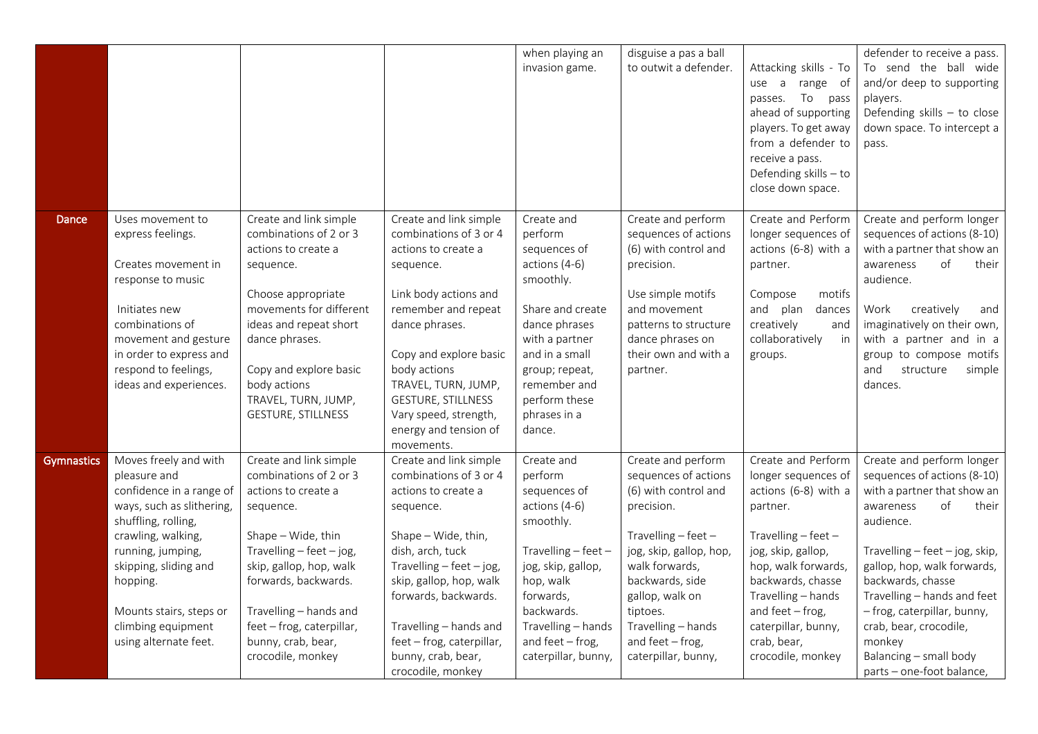|            |                                                                                                                                                                          |                                                                                                                                                                                   |                                                                                                                                                                                  | when playing an<br>invasion game.                                                                                                            | disguise a pas a ball<br>to outwit a defender.                                                                                                                                             | Attacking skills - To<br>use a<br>range of<br>passes. To pass<br>ahead of supporting                                                                                              | defender to receive a pass.<br>To send the ball wide<br>and/or deep to supporting<br>players.<br>Defending skills - to close                                                                                                                       |
|------------|--------------------------------------------------------------------------------------------------------------------------------------------------------------------------|-----------------------------------------------------------------------------------------------------------------------------------------------------------------------------------|----------------------------------------------------------------------------------------------------------------------------------------------------------------------------------|----------------------------------------------------------------------------------------------------------------------------------------------|--------------------------------------------------------------------------------------------------------------------------------------------------------------------------------------------|-----------------------------------------------------------------------------------------------------------------------------------------------------------------------------------|----------------------------------------------------------------------------------------------------------------------------------------------------------------------------------------------------------------------------------------------------|
|            |                                                                                                                                                                          |                                                                                                                                                                                   |                                                                                                                                                                                  |                                                                                                                                              |                                                                                                                                                                                            | players. To get away<br>from a defender to<br>receive a pass.<br>Defending skills - to<br>close down space.                                                                       | down space. To intercept a<br>pass.                                                                                                                                                                                                                |
| Dance      | Uses movement to<br>express feelings.<br>Creates movement in<br>response to music<br>Initiates new<br>combinations of<br>movement and gesture<br>in order to express and | Create and link simple<br>combinations of 2 or 3<br>actions to create a<br>sequence.<br>Choose appropriate<br>movements for different<br>ideas and repeat short<br>dance phrases. | Create and link simple<br>combinations of 3 or 4<br>actions to create a<br>sequence.<br>Link body actions and<br>remember and repeat<br>dance phrases.<br>Copy and explore basic | Create and<br>perform<br>sequences of<br>actions (4-6)<br>smoothly.<br>Share and create<br>dance phrases<br>with a partner<br>and in a small | Create and perform<br>sequences of actions<br>(6) with control and<br>precision.<br>Use simple motifs<br>and movement<br>patterns to structure<br>dance phrases on<br>their own and with a | Create and Perform<br>longer sequences of<br>actions (6-8) with a<br>partner.<br>Compose<br>motifs<br>and plan<br>dances<br>creatively<br>and<br>collaboratively<br>in<br>groups. | Create and perform longer<br>sequences of actions (8-10)<br>with a partner that show an<br>of<br>awareness<br>their<br>audience.<br>Work<br>creatively<br>and<br>imaginatively on their own,<br>with a partner and in a<br>group to compose motifs |
|            | respond to feelings,<br>ideas and experiences.                                                                                                                           | Copy and explore basic<br>body actions<br>TRAVEL, TURN, JUMP,<br><b>GESTURE, STILLNESS</b>                                                                                        | body actions<br>TRAVEL, TURN, JUMP,<br><b>GESTURE, STILLNESS</b><br>Vary speed, strength,<br>energy and tension of<br>movements.                                                 | group; repeat,<br>remember and<br>perform these<br>phrases in a<br>dance.                                                                    | partner.                                                                                                                                                                                   |                                                                                                                                                                                   | and<br>structure<br>simple<br>dances.                                                                                                                                                                                                              |
| Gymnastics | Moves freely and with<br>pleasure and<br>confidence in a range of<br>ways, such as slithering,<br>shuffling, rolling,<br>crawling, walking,                              | Create and link simple<br>combinations of 2 or 3<br>actions to create a<br>sequence.<br>Shape - Wide, thin                                                                        | Create and link simple<br>combinations of 3 or 4<br>actions to create a<br>sequence.<br>Shape - Wide, thin,                                                                      | Create and<br>perform<br>sequences of<br>actions (4-6)<br>smoothly.                                                                          | Create and perform<br>sequences of actions<br>(6) with control and<br>precision.<br>Travelling $-$ feet $-$                                                                                | Create and Perform<br>longer sequences of<br>actions (6-8) with a<br>partner.<br>Travelling - feet -                                                                              | Create and perform longer<br>sequences of actions (8-10)<br>with a partner that show an<br>of<br>their<br>awareness<br>audience.                                                                                                                   |
|            | running, jumping,<br>skipping, sliding and<br>hopping.<br>Mounts stairs, steps or<br>climbing equipment                                                                  | Travelling $-$ feet $-$ jog,<br>skip, gallop, hop, walk<br>forwards, backwards.<br>Travelling - hands and<br>feet - frog, caterpillar,                                            | dish, arch, tuck<br>Travelling $-$ feet $-$ jog,<br>skip, gallop, hop, walk<br>forwards, backwards.<br>Travelling - hands and                                                    | Travelling $-$ feet $-$<br>jog, skip, gallop,<br>hop, walk<br>forwards,<br>backwards.<br>Travelling - hands                                  | jog, skip, gallop, hop,<br>walk forwards,<br>backwards, side<br>gallop, walk on<br>tiptoes.<br>Travelling - hands                                                                          | jog, skip, gallop,<br>hop, walk forwards,<br>backwards, chasse<br>Travelling - hands<br>and feet $-$ frog,<br>caterpillar, bunny,                                                 | Travelling - feet - jog, skip,<br>gallop, hop, walk forwards,<br>backwards, chasse<br>Travelling - hands and feet<br>- frog, caterpillar, bunny,<br>crab, bear, crocodile,                                                                         |
|            | using alternate feet.                                                                                                                                                    | bunny, crab, bear,<br>crocodile, monkey                                                                                                                                           | feet - frog, caterpillar,<br>bunny, crab, bear,<br>crocodile, monkey                                                                                                             | and feet $-$ frog,<br>caterpillar, bunny,                                                                                                    | and feet $-$ frog,<br>caterpillar, bunny,                                                                                                                                                  | crab, bear,<br>crocodile, monkey                                                                                                                                                  | monkey<br>Balancing - small body<br>parts - one-foot balance,                                                                                                                                                                                      |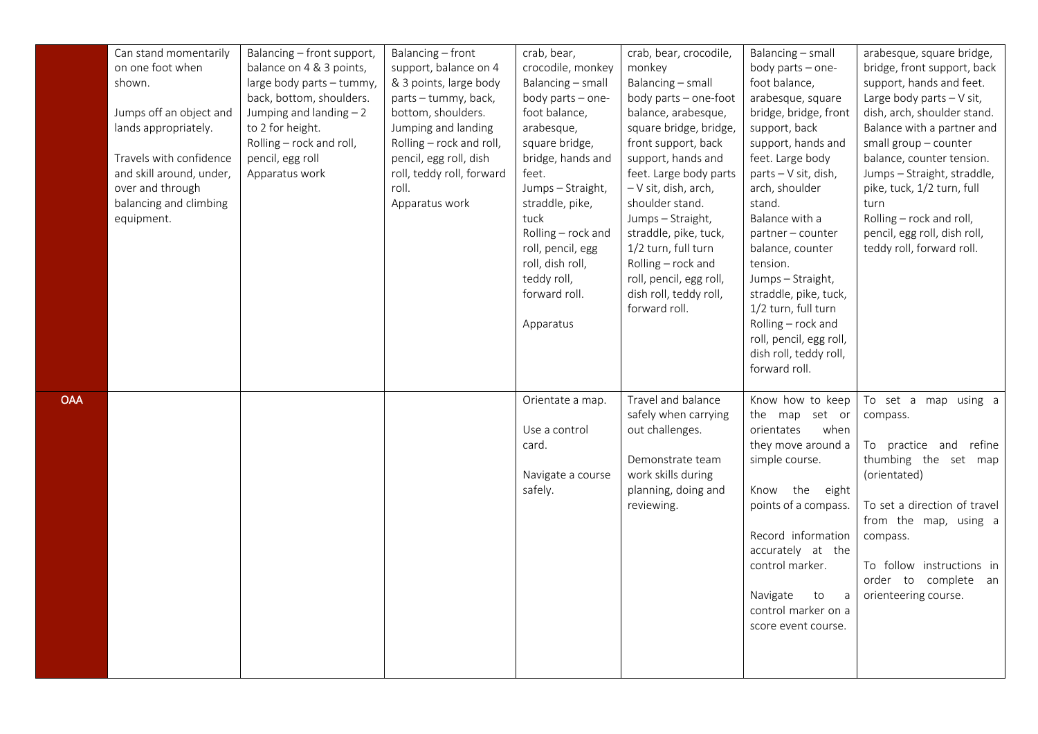|            | Can stand momentarily    | Balancing - front support, | Balancing - front         | crab, bear,        | crab, bear, crocodile,  | Balancing - small       | arabesque, square bridge,    |
|------------|--------------------------|----------------------------|---------------------------|--------------------|-------------------------|-------------------------|------------------------------|
|            | on one foot when         | balance on 4 & 3 points,   | support, balance on 4     | crocodile, monkey  | monkey                  | body parts - one-       | bridge, front support, back  |
|            | shown.                   | large body parts - tummy,  | & 3 points, large body    | Balancing - small  | Balancing - small       | foot balance,           | support, hands and feet.     |
|            |                          | back, bottom, shoulders.   | parts - tummy, back,      | body parts - one-  | body parts - one-foot   | arabesque, square       | Large body parts $-V$ sit,   |
|            | Jumps off an object and  | Jumping and landing $-2$   | bottom, shoulders.        | foot balance,      | balance, arabesque,     | bridge, bridge, front   | dish, arch, shoulder stand.  |
|            | lands appropriately.     | to 2 for height.           | Jumping and landing       | arabesque,         | square bridge, bridge,  | support, back           | Balance with a partner and   |
|            |                          | Rolling - rock and roll,   | Rolling - rock and roll,  | square bridge,     | front support, back     | support, hands and      | small group - counter        |
|            | Travels with confidence  | pencil, egg roll           | pencil, egg roll, dish    | bridge, hands and  | support, hands and      | feet. Large body        | balance, counter tension.    |
|            | and skill around, under, | Apparatus work             | roll, teddy roll, forward | feet.              | feet. Large body parts  | parts - V sit, dish,    | Jumps - Straight, straddle,  |
|            | over and through         |                            | roll.                     | Jumps - Straight,  | - V sit, dish, arch,    | arch, shoulder          | pike, tuck, 1/2 turn, full   |
|            | balancing and climbing   |                            | Apparatus work            | straddle, pike,    | shoulder stand.         | stand.                  | turn                         |
|            | equipment.               |                            |                           | tuck               | Jumps - Straight,       | Balance with a          | Rolling - rock and roll,     |
|            |                          |                            |                           | Rolling - rock and | straddle, pike, tuck,   | partner - counter       | pencil, egg roll, dish roll, |
|            |                          |                            |                           | roll, pencil, egg  | 1/2 turn, full turn     | balance, counter        | teddy roll, forward roll.    |
|            |                          |                            |                           | roll, dish roll,   | Rolling - rock and      | tension.                |                              |
|            |                          |                            |                           | teddy roll,        | roll, pencil, egg roll, | Jumps - Straight,       |                              |
|            |                          |                            |                           | forward roll.      | dish roll, teddy roll,  | straddle, pike, tuck,   |                              |
|            |                          |                            |                           |                    | forward roll.           | 1/2 turn, full turn     |                              |
|            |                          |                            |                           | Apparatus          |                         | Rolling - rock and      |                              |
|            |                          |                            |                           |                    |                         | roll, pencil, egg roll, |                              |
|            |                          |                            |                           |                    |                         | dish roll, teddy roll,  |                              |
|            |                          |                            |                           |                    |                         | forward roll.           |                              |
|            |                          |                            |                           |                    |                         |                         |                              |
| <b>OAA</b> |                          |                            |                           | Orientate a map.   | Travel and balance      | Know how to keep        | To set a map using a         |
|            |                          |                            |                           |                    | safely when carrying    | the map set or          | compass.                     |
|            |                          |                            |                           | Use a control      | out challenges.         | orientates<br>when      |                              |
|            |                          |                            |                           | card.              |                         | they move around a      | To practice and refine       |
|            |                          |                            |                           |                    | Demonstrate team        | simple course.          | thumbing the set map         |
|            |                          |                            |                           | Navigate a course  | work skills during      |                         | (orientated)                 |
|            |                          |                            |                           | safely.            | planning, doing and     | Know the eight          |                              |
|            |                          |                            |                           |                    | reviewing.              | points of a compass.    | To set a direction of travel |
|            |                          |                            |                           |                    |                         |                         | from the map, using a        |
|            |                          |                            |                           |                    |                         | Record information      | compass.                     |
|            |                          |                            |                           |                    |                         | accurately at the       |                              |
|            |                          |                            |                           |                    |                         | control marker.         | To follow instructions in    |
|            |                          |                            |                           |                    |                         |                         | order to complete an         |
|            |                          |                            |                           |                    |                         | Navigate<br>to<br>a     | orienteering course.         |
|            |                          |                            |                           |                    |                         | control marker on a     |                              |
|            |                          |                            |                           |                    |                         | score event course.     |                              |
|            |                          |                            |                           |                    |                         |                         |                              |
|            |                          |                            |                           |                    |                         |                         |                              |
|            |                          |                            |                           |                    |                         |                         |                              |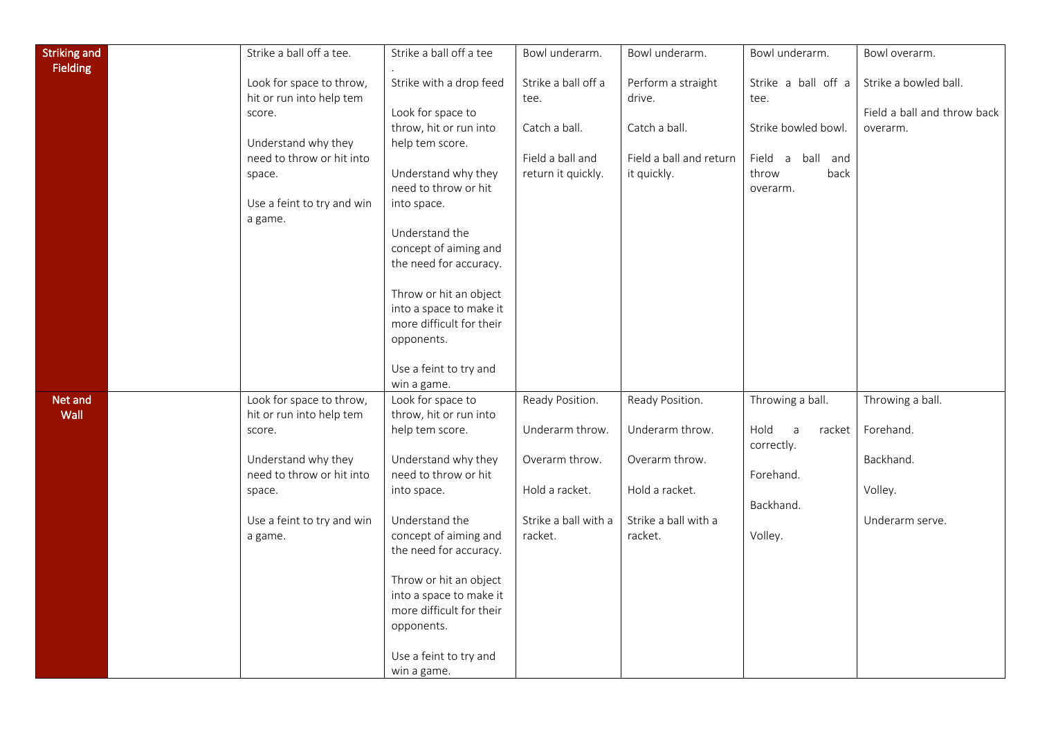| <b>Striking and</b> | Strike a ball off a tee.   | Strike a ball off a tee  | Bowl underarm.       | Bowl underarm.          | Bowl underarm.                 | Bowl overarm.               |
|---------------------|----------------------------|--------------------------|----------------------|-------------------------|--------------------------------|-----------------------------|
| <b>Fielding</b>     |                            |                          |                      |                         |                                |                             |
|                     | Look for space to throw,   | Strike with a drop feed  | Strike a ball off a  | Perform a straight      | Strike a ball off a            | Strike a bowled ball.       |
|                     | hit or run into help tem   |                          | tee.                 | drive.                  | tee.                           |                             |
|                     | score.                     | Look for space to        |                      |                         |                                | Field a ball and throw back |
|                     |                            | throw, hit or run into   | Catch a ball.        | Catch a ball.           | Strike bowled bowl.            | overarm.                    |
|                     | Understand why they        | help tem score.          |                      |                         |                                |                             |
|                     | need to throw or hit into  |                          | Field a ball and     | Field a ball and return | Field a ball and               |                             |
|                     | space.                     | Understand why they      | return it quickly.   | it quickly.             | throw<br>back                  |                             |
|                     |                            | need to throw or hit     |                      |                         |                                |                             |
|                     | Use a feint to try and win | into space.              |                      |                         | overarm.                       |                             |
|                     |                            |                          |                      |                         |                                |                             |
|                     | a game.                    | Understand the           |                      |                         |                                |                             |
|                     |                            | concept of aiming and    |                      |                         |                                |                             |
|                     |                            |                          |                      |                         |                                |                             |
|                     |                            | the need for accuracy.   |                      |                         |                                |                             |
|                     |                            | Throw or hit an object   |                      |                         |                                |                             |
|                     |                            | into a space to make it  |                      |                         |                                |                             |
|                     |                            | more difficult for their |                      |                         |                                |                             |
|                     |                            | opponents.               |                      |                         |                                |                             |
|                     |                            |                          |                      |                         |                                |                             |
|                     |                            | Use a feint to try and   |                      |                         |                                |                             |
|                     |                            | win a game.              |                      |                         |                                |                             |
| Net and             | Look for space to throw,   | Look for space to        | Ready Position.      | Ready Position.         | Throwing a ball.               | Throwing a ball.            |
| Wall                | hit or run into help tem   | throw, hit or run into   |                      |                         |                                |                             |
|                     | score.                     | help tem score.          | Underarm throw.      | Underarm throw.         | Hold<br>$\mathsf{a}$<br>racket | Forehand.                   |
|                     |                            |                          |                      |                         | correctly.                     |                             |
|                     | Understand why they        | Understand why they      | Overarm throw.       | Overarm throw.          |                                | Backhand.                   |
|                     | need to throw or hit into  | need to throw or hit     |                      |                         | Forehand.                      |                             |
|                     | space.                     | into space.              | Hold a racket.       | Hold a racket.          |                                | Volley.                     |
|                     |                            |                          |                      |                         | Backhand.                      |                             |
|                     | Use a feint to try and win | Understand the           | Strike a ball with a | Strike a ball with a    |                                | Underarm serve.             |
|                     | a game.                    | concept of aiming and    | racket.              | racket.                 | Volley.                        |                             |
|                     |                            | the need for accuracy.   |                      |                         |                                |                             |
|                     |                            |                          |                      |                         |                                |                             |
|                     |                            | Throw or hit an object   |                      |                         |                                |                             |
|                     |                            | into a space to make it  |                      |                         |                                |                             |
|                     |                            | more difficult for their |                      |                         |                                |                             |
|                     |                            | opponents.               |                      |                         |                                |                             |
|                     |                            |                          |                      |                         |                                |                             |
|                     |                            | Use a feint to try and   |                      |                         |                                |                             |
|                     |                            | win a game.              |                      |                         |                                |                             |
|                     |                            |                          |                      |                         |                                |                             |